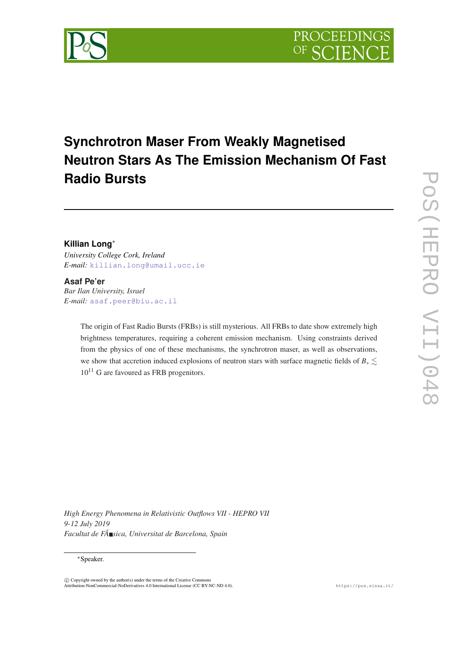

# **Synchrotron Maser From Weakly Magnetised Neutron Stars As The Emission Mechanism Of Fast Radio Bursts**

# **Killian Long**<sup>∗</sup>

*University College Cork, Ireland E-mail:* [killian.long@umail.ucc.ie](mailto:killian.long@umail.ucc.ie)

### **Asaf Pe'er**

*Bar Ilan University, Israel E-mail:* [asaf.peer@biu.ac.il](mailto:asaf.peer@biu.ac.il)

> The origin of Fast Radio Bursts (FRBs) is still mysterious. All FRBs to date show extremely high brightness temperatures, requiring a coherent emission mechanism. Using constraints derived from the physics of one of these mechanisms, the synchrotron maser, as well as observations, we show that accretion induced explosions of neutron stars with surface magnetic fields of *B*<sup>∗</sup> ...  $10^{11}$  G are favoured as FRB progenitors.

*High Energy Phenomena in Relativistic Outflows VII - HEPRO VII 9-12 July 2019 Facultat de FÃ sica, Universitat de Barcelona, Spain*

#### <sup>∗</sup>Speaker.

 $\overline{c}$  Copyright owned by the author(s) under the terms of the Creative Common Attribution-NonCommercial-NoDerivatives 4.0 International License (CC BY-NC-ND 4.0). https://pos.sissa.it/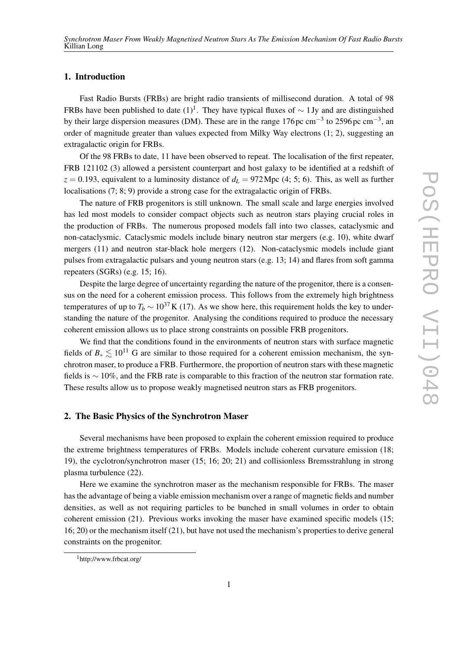#### 1. Introduction

Fast Radio Bursts (FRBs) are bright radio transients of millisecond duration. A total of 98 FRBs have been published to date  $(1)^{1}$ . They have typical fluxes of  $\sim 1$  Jy and are distinguished by their large dispersion measures (DM). These are in the range 176 pc cm<sup>-3</sup> to 2596 pc cm<sup>-3</sup>, an order of magnitude greater than values expected from Milky Way electrons (1; 2), suggesting an extragalactic origin for FRBs.

Of the 98 FRBs to date, 11 have been observed to repeat. The localisation of the first repeater, FRB 121102 (3) allowed a persistent counterpart and host galaxy to be identified at a redshift of  $z = 0.193$ , equivalent to a luminosity distance of  $d<sub>L</sub> = 972$  Mpc (4; 5; 6). This, as well as further localisations (7; 8; 9) provide a strong case for the extragalactic origin of FRBs.

The nature of FRB progenitors is still unknown. The small scale and large energies involved has led most models to consider compact objects such as neutron stars playing crucial roles in the production of FRBs. The numerous proposed models fall into two classes, cataclysmic and non-cataclysmic. Cataclysmic models include binary neutron star mergers (e.g. 10), white dwarf mergers (11) and neutron star-black hole mergers (12). Non-cataclysmic models include giant pulses from extragalactic pulsars and young neutron stars (e.g. 13; 14) and flares from soft gamma repeaters (SGRs) (e.g. 15; 16).

Despite the large degree of uncertainty regarding the nature of the progenitor, there is a consensus on the need for a coherent emission process. This follows from the extremely high brightness temperatures of up to  $T_b \sim 10^{37}$  K (17). As we show here, this requirement holds the key to understanding the nature of the progenitor. Analysing the conditions required to produce the necessary coherent emission allows us to place strong constraints on possible FRB progenitors.

We find that the conditions found in the environments of neutron stars with surface magnetic fields of  $B_* \lesssim 10^{11}$  G are similar to those required for a coherent emission mechanism, the synchrotron maser, to produce a FRB. Furthermore, the proportion of neutron stars with these magnetic fields is ∼ 10%, and the FRB rate is comparable to this fraction of the neutron star formation rate. These results allow us to propose weakly magnetised neutron stars as FRB progenitors.

#### 2. The Basic Physics of the Synchrotron Maser

Several mechanisms have been proposed to explain the coherent emission required to produce the extreme brightness temperatures of FRBs. Models include coherent curvature emission (18; 19), the cyclotron/synchrotron maser (15; 16; 20; 21) and collisionless Bremsstrahlung in strong plasma turbulence (22).

Here we examine the synchrotron maser as the mechanism responsible for FRBs. The maser has the advantage of being a viable emission mechanism over a range of magnetic fields and number densities, as well as not requiring particles to be bunched in small volumes in order to obtain coherent emission (21). Previous works invoking the maser have examined specific models (15; 16; 20) or the mechanism itself (21), but have not used the mechanism's properties to derive general constraints on the progenitor.

<sup>1</sup>http://www.frbcat.org/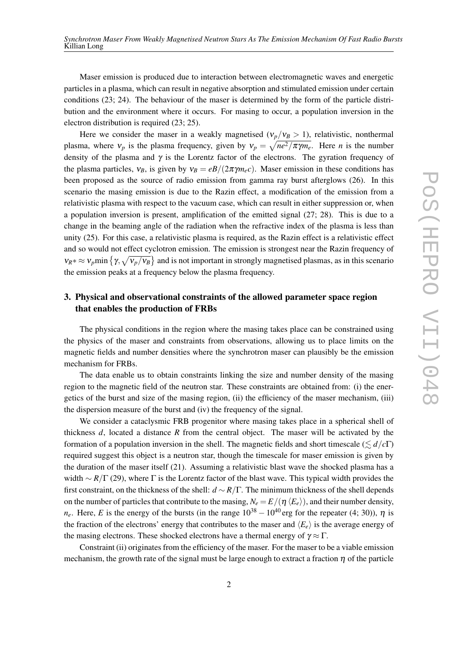Maser emission is produced due to interaction between electromagnetic waves and energetic particles in a plasma, which can result in negative absorption and stimulated emission under certain conditions (23; 24). The behaviour of the maser is determined by the form of the particle distribution and the environment where it occurs. For masing to occur, a population inversion in the electron distribution is required (23; 25).

Here we consider the maser in a weakly magnetised  $(v_p/v_B > 1)$ , relativistic, nonthermal plasma, where  $v_p$  is the plasma frequency, given by  $v_p = \sqrt{ne^2/\pi \gamma m_e}$ . Here *n* is the number density of the plasma and  $\gamma$  is the Lorentz factor of the electrons. The gyration frequency of the plasma particles,  $v_B$ , is given by  $v_B = eB/(2\pi \gamma m_e c)$ . Maser emission in these conditions has been proposed as the source of radio emission from gamma ray burst afterglows (26). In this scenario the masing emission is due to the Razin effect, a modification of the emission from a relativistic plasma with respect to the vacuum case, which can result in either suppression or, when a population inversion is present, amplification of the emitted signal (27; 28). This is due to a change in the beaming angle of the radiation when the refractive index of the plasma is less than unity (25). For this case, a relativistic plasma is required, as the Razin effect is a relativistic effect and so would not effect cyclotron emission. The emission is strongest near the Razin frequency of  $v_R * \approx v_p$  min  $\{\gamma, \sqrt{v_p/v_B}\}$  and is not important in strongly magnetised plasmas, as in this scenario the emission peaks at a frequency below the plasma frequency.

## 3. Physical and observational constraints of the allowed parameter space region that enables the production of FRBs

The physical conditions in the region where the masing takes place can be constrained using the physics of the maser and constraints from observations, allowing us to place limits on the magnetic fields and number densities where the synchrotron maser can plausibly be the emission mechanism for FRBs.

The data enable us to obtain constraints linking the size and number density of the masing region to the magnetic field of the neutron star. These constraints are obtained from: (i) the energetics of the burst and size of the masing region, (ii) the efficiency of the maser mechanism, (iii) the dispersion measure of the burst and (iv) the frequency of the signal.

We consider a cataclysmic FRB progenitor where masing takes place in a spherical shell of thickness *d*, located a distance *R* from the central object. The maser will be activated by the formation of a population inversion in the shell. The magnetic fields and short timescale ( $\leq d/c\Gamma$ ) required suggest this object is a neutron star, though the timescale for maser emission is given by the duration of the maser itself (21). Assuming a relativistic blast wave the shocked plasma has a width ∼ *R*/Γ (29), where Γ is the Lorentz factor of the blast wave. This typical width provides the first constraint, on the thickness of the shell: *d* ∼ *R*/Γ. The minimum thickness of the shell depends on the number of particles that contribute to the masing,  $N_e = E/(\eta \langle E_e \rangle)$ , and their number density,  $n_e$ . Here, *E* is the energy of the bursts (in the range  $10^{38} - 10^{40}$  erg for the repeater (4; 30)),  $\eta$  is the fraction of the electrons' energy that contributes to the maser and  $\langle E_e \rangle$  is the average energy of the masing electrons. These shocked electrons have a thermal energy of  $\gamma \approx \Gamma$ .

Constraint (ii) originates from the efficiency of the maser. For the maser to be a viable emission mechanism, the growth rate of the signal must be large enough to extract a fraction  $\eta$  of the particle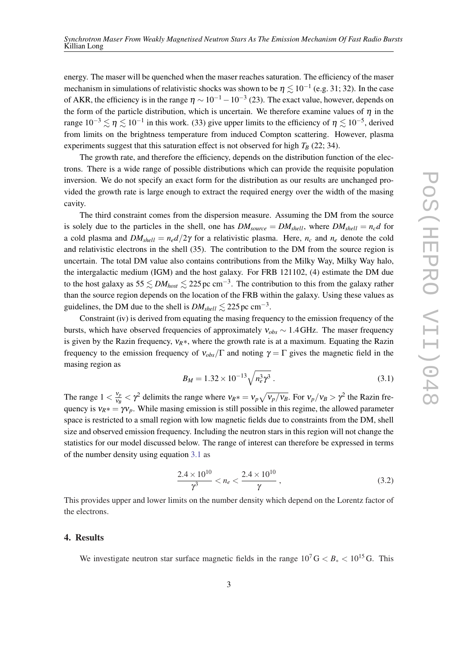<span id="page-3-0"></span>energy. The maser will be quenched when the maser reaches saturation. The efficiency of the maser mechanism in simulations of relativistic shocks was shown to be  $\eta \lesssim 10^{-1}$  (e.g. 31; 32). In the case of AKR, the efficiency is in the range  $\eta \sim 10^{-1} - 10^{-3}$  (23). The exact value, however, depends on the form of the particle distribution, which is uncertain. We therefore examine values of  $\eta$  in the range  $10^{-3} \lesssim \eta \lesssim 10^{-1}$  in this work. (33) give upper limits to the efficiency of  $\eta \lesssim 10^{-5}$ , derived from limits on the brightness temperature from induced Compton scattering. However, plasma experiments suggest that this saturation effect is not observed for high  $T_B$  (22; 34).

The growth rate, and therefore the efficiency, depends on the distribution function of the electrons. There is a wide range of possible distributions which can provide the requisite population inversion. We do not specify an exact form for the distribution as our results are unchanged provided the growth rate is large enough to extract the required energy over the width of the masing cavity.

The third constraint comes from the dispersion measure. Assuming the DM from the source is solely due to the particles in the shell, one has  $DM_{source} = DM_{shell}$ , where  $DM_{shell} = n_c d$  for a cold plasma and  $DM_{shell} = n_e d/2\gamma$  for a relativistic plasma. Here,  $n_c$  and  $n_e$  denote the cold and relativistic electrons in the shell (35). The contribution to the DM from the source region is uncertain. The total DM value also contains contributions from the Milky Way, Milky Way halo, the intergalactic medium (IGM) and the host galaxy. For FRB 121102, (4) estimate the DM due to the host galaxy as  $55 \lesssim DM_{host} \lesssim 225 \,\rm pc \, cm^{-3}$ . The contribution to this from the galaxy rather than the source region depends on the location of the FRB within the galaxy. Using these values as guidelines, the DM due to the shell is  $DM_{shell} \lesssim 225$  pc cm<sup>-3</sup>.

Constraint (iv) is derived from equating the masing frequency to the emission frequency of the bursts, which have observed frequencies of approximately ν*obs* ∼ 1.4GHz. The maser frequency is given by the Razin frequency,  $v_R$ <sup>\*</sup>, where the growth rate is at a maximum. Equating the Razin frequency to the emission frequency of  $v_{obs}/\Gamma$  and noting  $\gamma = \Gamma$  gives the magnetic field in the masing region as

$$
B_M = 1.32 \times 10^{-13} \sqrt{n_e^3 \gamma^3} \,. \tag{3.1}
$$

The range  $1 < \frac{v_p}{v_p}$  $\frac{v_p}{v_B} < \gamma^2$  delimits the range where  $v_R * = v_p \sqrt{v_p/v_B}$ . For  $v_p/v_B > \gamma^2$  the Razin frequency is  $v_R * = \gamma v_p$ . While masing emission is still possible in this regime, the allowed parameter space is restricted to a small region with low magnetic fields due to constraints from the DM, shell size and observed emission frequency. Including the neutron stars in this region will not change the statistics for our model discussed below. The range of interest can therefore be expressed in terms of the number density using equation 3.1 as

$$
\frac{2.4 \times 10^{10}}{\gamma^3} < n_e < \frac{2.4 \times 10^{10}}{\gamma} \,, \tag{3.2}
$$

This provides upper and lower limits on the number density which depend on the Lorentz factor of the electrons.

#### 4. Results

We investigate neutron star surface magnetic fields in the range  $10^7 \text{G} < B_* < 10^{15} \text{G}$ . This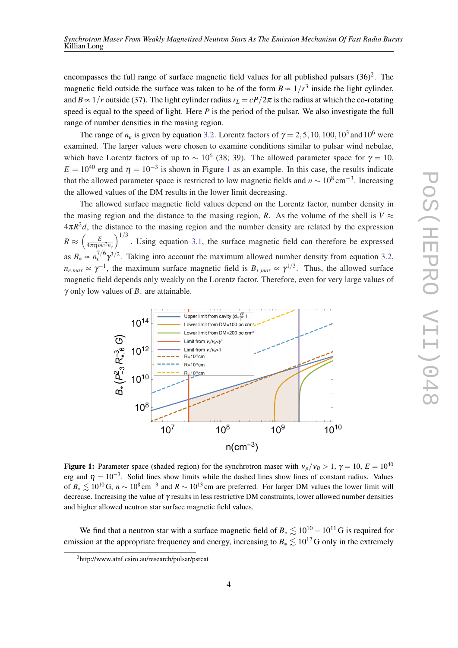encompasses the full range of surface magnetic field values for all published pulsars  $(36)^2$ . The magnetic field outside the surface was taken to be of the form  $B \propto 1/r^3$  inside the light cylinder, and  $B \propto 1/r$  outside (37). The light cylinder radius  $r_L = cP/2\pi$  is the radius at which the co-rotating speed is equal to the speed of light. Here *P* is the period of the pulsar. We also investigate the full range of number densities in the masing region.

The range of  $n_e$  is given by equation [3.2](#page-3-0). Lorentz factors of  $\gamma = 2, 5, 10, 100, 10^3$  and  $10^6$  were examined. The larger values were chosen to examine conditions similar to pulsar wind nebulae, which have Lorentz factors of up to  $\sim 10^6$  (38; 39). The allowed parameter space for  $\gamma = 10$ ,  $E = 10^{40}$  erg and  $\eta = 10^{-3}$  is shown in Figure 1 as an example. In this case, the results indicate that the allowed parameter space is restricted to low magnetic fields and  $n \sim 10^8 \text{ cm}^{-3}$ . Increasing the allowed values of the DM results in the lower limit decreasing.

The allowed surface magnetic field values depend on the Lorentz factor, number density in the masing region and the distance to the masing region, *R*. As the volume of the shell is  $V \approx$  $4\pi R^2 d$ , the distance to the masing region and the number density are related by the expression  $R \approx \left(\frac{E}{4\pi\eta mc^2 n_e}\right)$  $1/3$ . Using equation [3.1,](#page-3-0) the surface magnetic field can therefore be expressed as  $B_* \propto n_e^{7/6} \gamma^{3/2}$ . Taking into account the maximum allowed number density from equation [3.2](#page-3-0),  $n_{e,max} \propto \gamma^{-1}$ , the maximum surface magnetic field is  $B_{*,max} \propto \gamma^{1/3}$ . Thus, the allowed surface magnetic field depends only weakly on the Lorentz factor. Therefore, even for very large values of γ only low values of *B*<sup>∗</sup> are attainable.



**Figure 1:** Parameter space (shaded region) for the synchrotron maser with  $v_p/v_B > 1$ ,  $\gamma = 10$ ,  $E = 10^{40}$ erg and  $\eta = 10^{-3}$ . Solid lines show limits while the dashed lines show lines of constant radius. Values of  $B_* \lesssim 10^{10}$  G,  $n \sim 10^8$  cm<sup>-3</sup> and  $R \sim 10^{13}$  cm are preferred. For larger DM values the lower limit will decrease. Increasing the value of γ results in less restrictive DM constraints, lower allowed number densities and higher allowed neutron star surface magnetic field values.

We find that a neutron star with a surface magnetic field of  $B_* \leq 10^{10} - 10^{11}$  G is required for emission at the appropriate frequency and energy, increasing to  $B_* \lesssim 10^{12}$  G only in the extremely

<sup>2</sup>http://www.atnf.csiro.au/research/pulsar/psrcat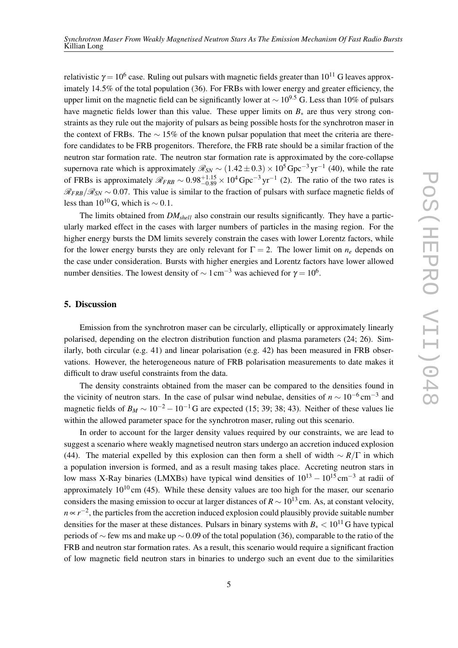relativistic  $\gamma$   $=$   $10^6$  case. Ruling out pulsars with magnetic fields greater than  $10^{11}$  G leaves approximately 14.5% of the total population (36). For FRBs with lower energy and greater efficiency, the upper limit on the magnetic field can be significantly lower at  $\sim 10^{9.5}$  G. Less than 10% of pulsars have magnetic fields lower than this value. These upper limits on *B*<sup>∗</sup> are thus very strong constraints as they rule out the majority of pulsars as being possible hosts for the synchrotron maser in the context of FRBs. The  $\sim$  15% of the known pulsar population that meet the criteria are therefore candidates to be FRB progenitors. Therefore, the FRB rate should be a similar fraction of the neutron star formation rate. The neutron star formation rate is approximated by the core-collapse supernova rate which is approximately  $\mathscr{R}_{SN} \sim (1.42 \pm 0.3) \times 10^5$  Gpc<sup>-3</sup> yr<sup>-1</sup> (40), while the rate of FRBs is approximately  $\mathcal{R}_{FRB} \sim 0.98_{-0.89}^{+1.15} \times 10^4 \text{ Gpc}^{-3} \text{ yr}^{-1}$  (2). The ratio of the two rates is  $\mathcal{R}_{FRB}/\mathcal{R}_{SN} \sim 0.07$ . This value is similar to the fraction of pulsars with surface magnetic fields of less than 10<sup>10</sup> G, which is  $\sim$  0.1.

The limits obtained from  $DM_{shell}$  also constrain our results significantly. They have a particularly marked effect in the cases with larger numbers of particles in the masing region. For the higher energy bursts the DM limits severely constrain the cases with lower Lorentz factors, while for the lower energy bursts they are only relevant for  $\Gamma = 2$ . The lower limit on  $n_e$  depends on the case under consideration. Bursts with higher energies and Lorentz factors have lower allowed number densities. The lowest density of  $\sim 1 \text{ cm}^{-3}$  was achieved for  $\gamma = 10^6$ .

#### 5. Discussion

Emission from the synchrotron maser can be circularly, elliptically or approximately linearly polarised, depending on the electron distribution function and plasma parameters (24; 26). Similarly, both circular (e.g. 41) and linear polarisation (e.g. 42) has been measured in FRB observations. However, the heterogeneous nature of FRB polarisation measurements to date makes it difficult to draw useful constraints from the data.

The density constraints obtained from the maser can be compared to the densities found in the vicinity of neutron stars. In the case of pulsar wind nebulae, densities of  $n \sim 10^{-6}$  cm<sup>-3</sup> and magnetic fields of  $B_M \sim 10^{-2} - 10^{-1}$  G are expected (15; 39; 38; 43). Neither of these values lie within the allowed parameter space for the synchrotron maser, ruling out this scenario.

In order to account for the larger density values required by our constraints, we are lead to suggest a scenario where weakly magnetised neutron stars undergo an accretion induced explosion (44). The material expelled by this explosion can then form a shell of width ∼ *R*/Γ in which a population inversion is formed, and as a result masing takes place. Accreting neutron stars in low mass X-Ray binaries (LMXBs) have typical wind densities of  $10^{13} - 10^{15}$  cm<sup>-3</sup> at radii of approximately  $10^{10}$  cm (45). While these density values are too high for the maser, our scenario considers the masing emission to occur at larger distances of  $R \sim 10^{13}$  cm. As, at constant velocity, *n* ∝ *r*<sup>-2</sup>, the particles from the accretion induced explosion could plausibly provide suitable number densities for the maser at these distances. Pulsars in binary systems with  $B_* < 10^{11}$  G have typical periods of ∼ few ms and make up ∼ 0.09 of the total population (36), comparable to the ratio of the FRB and neutron star formation rates. As a result, this scenario would require a significant fraction of low magnetic field neutron stars in binaries to undergo such an event due to the similarities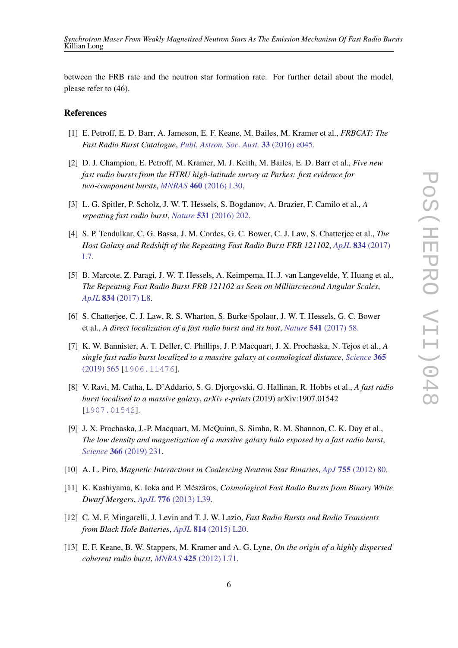between the FRB rate and the neutron star formation rate. For further detail about the model, please refer to (46).

### References

- [1] E. Petroff, E. D. Barr, A. Jameson, E. F. Keane, M. Bailes, M. Kramer et al., *FRBCAT: The Fast Radio Burst Catalogue*, *[Publ. Astron. Soc. Aust.](https://doi.org/10.1017/pasa.2016.35)* 33 (2016) e045.
- [2] D. J. Champion, E. Petroff, M. Kramer, M. J. Keith, M. Bailes, E. D. Barr et al., *Five new fast radio bursts from the HTRU high-latitude survey at Parkes: first evidence for two-component bursts*, *MNRAS* 460 [\(2016\) L30](https://doi.org/10.1093/mnrasl/slw069).
- [3] L. G. Spitler, P. Scholz, J. W. T. Hessels, S. Bogdanov, A. Brazier, F. Camilo et al., *A repeating fast radio burst*, *Nature* 531 [\(2016\) 202](https://doi.org/10.1038/nature17168).
- [4] S. P. Tendulkar, C. G. Bassa, J. M. Cordes, G. C. Bower, C. J. Law, S. Chatterjee et al., *The Host Galaxy and Redshift of the Repeating Fast Radio Burst FRB 121102*, *ApJL* 834 [\(2017\)](https://doi.org/10.3847/2041-8213/834/2/L7) [L7](https://doi.org/10.3847/2041-8213/834/2/L7).
- [5] B. Marcote, Z. Paragi, J. W. T. Hessels, A. Keimpema, H. J. van Langevelde, Y. Huang et al., *The Repeating Fast Radio Burst FRB 121102 as Seen on Milliarcsecond Angular Scales*, *ApJL* 834 [\(2017\) L8.](https://doi.org/10.3847/2041-8213/834/2/L8)
- [6] S. Chatterjee, C. J. Law, R. S. Wharton, S. Burke-Spolaor, J. W. T. Hessels, G. C. Bower et al., *A direct localization of a fast radio burst and its host*, *Nature* 541 [\(2017\) 58](https://doi.org/10.1038/nature20797).
- [7] K. W. Bannister, A. T. Deller, C. Phillips, J. P. Macquart, J. X. Prochaska, N. Tejos et al., *A single fast radio burst localized to a massive galaxy at cosmological distance*, *[Science](https://doi.org/10.1126/science.aaw5903)* 365 [\(2019\) 565](https://doi.org/10.1126/science.aaw5903) [[1906.11476](https://arxiv.org/abs/1906.11476)].
- [8] V. Ravi, M. Catha, L. D'Addario, S. G. Djorgovski, G. Hallinan, R. Hobbs et al., *A fast radio burst localised to a massive galaxy*, *arXiv e-prints* (2019) arXiv:1907.01542 [[1907.01542](https://arxiv.org/abs/1907.01542)].
- [9] J. X. Prochaska, J.-P. Macquart, M. McQuinn, S. Simha, R. M. Shannon, C. K. Day et al., *The low density and magnetization of a massive galaxy halo exposed by a fast radio burst*, *Science* 366 [\(2019\) 231](https://doi.org/10.1126/science.aay0073).
- [10] A. L. Piro, *Magnetic Interactions in Coalescing Neutron Star Binaries*, *ApJ* 755 [\(2012\) 80.](https://doi.org/10.1088/0004-637X/755/1/80)
- [11] K. Kashiyama, K. Ioka and P. Mészáros, *Cosmological Fast Radio Bursts from Binary White Dwarf Mergers*, *ApJL* 776 [\(2013\) L39.](https://doi.org/10.1088/2041-8205/776/2/L39)
- [12] C. M. F. Mingarelli, J. Levin and T. J. W. Lazio, *Fast Radio Bursts and Radio Transients from Black Hole Batteries*, *ApJL* 814 [\(2015\) L20](https://doi.org/10.1088/2041-8205/814/2/L20).
- [13] E. F. Keane, B. W. Stappers, M. Kramer and A. G. Lyne, *On the origin of a highly dispersed coherent radio burst*, *MNRAS* 425 [\(2012\) L71.](https://doi.org/10.1111/j.1745-3933.2012.01306.x)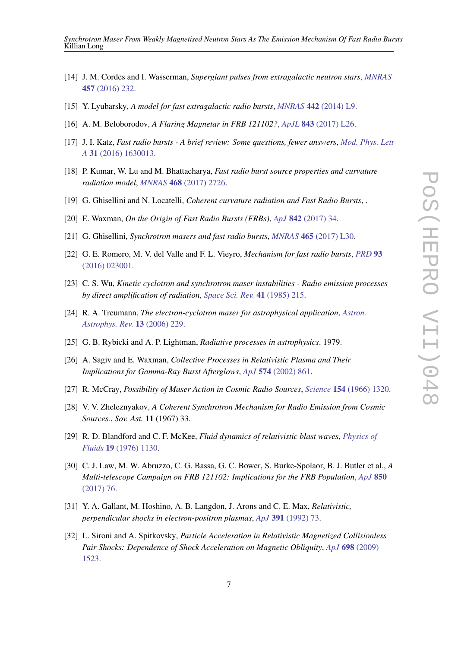- [14] J. M. Cordes and I. Wasserman, *Supergiant pulses from extragalactic neutron stars*, *[MNRAS](https://doi.org/10.1093/mnras/stv2948)* 457 [\(2016\) 232](https://doi.org/10.1093/mnras/stv2948).
- [15] Y. Lyubarsky, *A model for fast extragalactic radio bursts*, *MNRAS* 442 [\(2014\) L9.](https://doi.org/10.1093/mnrasl/slu046)
- [16] A. M. Beloborodov, *A Flaring Magnetar in FRB 121102?*, *ApJL* 843 [\(2017\) L26.](https://doi.org/10.3847/2041-8213/aa78f3)
- [17] J. I. Katz, *Fast radio bursts A brief review: Some questions, fewer answers*, *[Mod. Phys. Lett](https://doi.org/10.1142/S0217732316300135) A* 31 [\(2016\) 1630013.](https://doi.org/10.1142/S0217732316300135)
- [18] P. Kumar, W. Lu and M. Bhattacharya, *Fast radio burst source properties and curvature radiation model*, *MNRAS* 468 [\(2017\) 2726.](https://doi.org/10.1093/mnras/stx665)
- [19] G. Ghisellini and N. Locatelli, *Coherent curvature radiation and Fast Radio Bursts*, .
- [20] E. Waxman, *On the Origin of Fast Radio Bursts (FRBs)*, *ApJ* 842 [\(2017\) 34.](https://doi.org/10.3847/1538-4357/aa713e)
- [21] G. Ghisellini, *Synchrotron masers and fast radio bursts*, *MNRAS* 465 [\(2017\) L30.](https://doi.org/10.1093/mnrasl/slw202)
- [22] G. E. Romero, M. V. del Valle and F. L. Vieyro, *Mechanism for fast radio bursts*, *[PRD](https://doi.org/10.1103/PhysRevD.93.023001)* 93 [\(2016\) 023001](https://doi.org/10.1103/PhysRevD.93.023001).
- [23] C. S. Wu, *Kinetic cyclotron and synchrotron maser instabilities Radio emission processes by direct amplification of radiation*, *[Space Sci. Rev.](https://doi.org/10.1007/BF00190653)* 41 (1985) 215.
- [24] R. A. Treumann, *The electron-cyclotron maser for astrophysical application*, *[Astron.](https://doi.org/10.1007/s00159-006-0001-y) [Astrophys. Rev.](https://doi.org/10.1007/s00159-006-0001-y)* 13 (2006) 229.
- [25] G. B. Rybicki and A. P. Lightman, *Radiative processes in astrophysics*. 1979.
- [26] A. Sagiv and E. Waxman, *Collective Processes in Relativistic Plasma and Their Implications for Gamma-Ray Burst Afterglows*, *ApJ* 574 [\(2002\) 861.](https://doi.org/10.1086/340948)
- [27] R. McCray, *Possibility of Maser Action in Cosmic Radio Sources*, *Science* 154 [\(1966\) 1320.](https://doi.org/10.1126/science.154.3754.1320)
- [28] V. V. Zheleznyakov, *A Coherent Synchrotron Mechanism for Radio Emission from Cosmic Sources.*, *Sov. Ast.* 11 (1967) 33.
- [29] R. D. Blandford and C. F. McKee, *Fluid dynamics of relativistic blast waves*, *[Physics of](https://doi.org/10.1063/1.861619) Fluids* 19 [\(1976\) 1130.](https://doi.org/10.1063/1.861619)
- [30] C. J. Law, M. W. Abruzzo, C. G. Bassa, G. C. Bower, S. Burke-Spolaor, B. J. Butler et al., *A Multi-telescope Campaign on FRB 121102: Implications for the FRB Population*, *[ApJ](https://doi.org/10.3847/1538-4357/aa9700)* 850 [\(2017\) 76.](https://doi.org/10.3847/1538-4357/aa9700)
- [31] Y. A. Gallant, M. Hoshino, A. B. Langdon, J. Arons and C. E. Max, *Relativistic, perpendicular shocks in electron-positron plasmas*, *ApJ* 391 [\(1992\) 73](https://doi.org/10.1086/171326).
- [32] L. Sironi and A. Spitkovsky, *Particle Acceleration in Relativistic Magnetized Collisionless Pair Shocks: Dependence of Shock Acceleration on Magnetic Obliquity*, *ApJ* 698 [\(2009\)](https://doi.org/10.1088/0004-637X/698/2/1523) [1523.](https://doi.org/10.1088/0004-637X/698/2/1523)